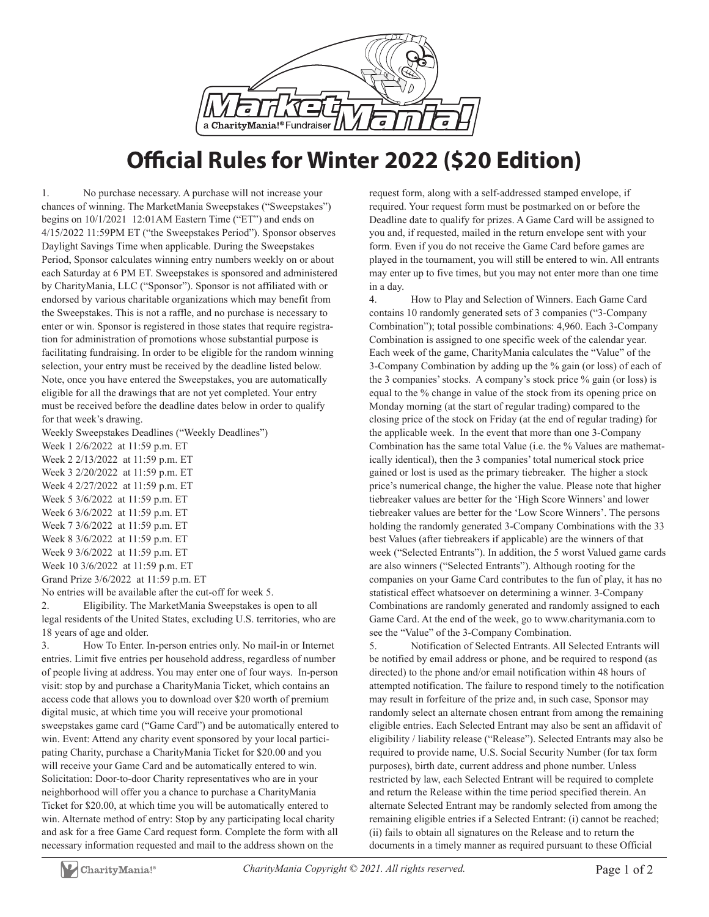

## **Official Rules for Winter 2022 (\$20 Edition)**

1. No purchase necessary. A purchase will not increase your chances of winning. The MarketMania Sweepstakes ("Sweepstakes") begins on 10/1/2021 12:01AM Eastern Time ("ET") and ends on 4/15/2022 11:59PM ET ("the Sweepstakes Period"). Sponsor observes Daylight Savings Time when applicable. During the Sweepstakes Period, Sponsor calculates winning entry numbers weekly on or about each Saturday at 6 PM ET. Sweepstakes is sponsored and administered by CharityMania, LLC ("Sponsor"). Sponsor is not affiliated with or endorsed by various charitable organizations which may benefit from the Sweepstakes. This is not a raffle, and no purchase is necessary to enter or win. Sponsor is registered in those states that require registration for administration of promotions whose substantial purpose is facilitating fundraising. In order to be eligible for the random winning selection, your entry must be received by the deadline listed below. Note, once you have entered the Sweepstakes, you are automatically eligible for all the drawings that are not yet completed. Your entry must be received before the deadline dates below in order to qualify for that week's drawing.

Weekly Sweepstakes Deadlines ("Weekly Deadlines")

Week 1 2/6/2022 at 11:59 p.m. ET Week 2 2/13/2022 at 11:59 p.m. ET Week 3 2/20/2022 at 11:59 p.m. ET Week 4 2/27/2022 at 11:59 p.m. ET Week 5 3/6/2022 at 11:59 p.m. ET Week 6 3/6/2022 at 11:59 p.m. ET Week 7 3/6/2022 at 11:59 p.m. ET Week 8 3/6/2022 at 11:59 p.m. ET Week 9 3/6/2022 at 11:59 p.m. ET Week 10 3/6/2022 at 11:59 p.m. ET Grand Prize 3/6/2022 at 11:59 p.m. ET

No entries will be available after the cut-off for week 5.

2. Eligibility. The MarketMania Sweepstakes is open to all legal residents of the United States, excluding U.S. territories, who are 18 years of age and older.

3. How To Enter. In-person entries only. No mail-in or Internet entries. Limit five entries per household address, regardless of number of people living at address. You may enter one of four ways. In-person visit: stop by and purchase a CharityMania Ticket, which contains an access code that allows you to download over \$20 worth of premium digital music, at which time you will receive your promotional sweepstakes game card ("Game Card") and be automatically entered to win. Event: Attend any charity event sponsored by your local participating Charity, purchase a CharityMania Ticket for \$20.00 and you will receive your Game Card and be automatically entered to win. Solicitation: Door-to-door Charity representatives who are in your neighborhood will offer you a chance to purchase a CharityMania Ticket for \$20.00, at which time you will be automatically entered to win. Alternate method of entry: Stop by any participating local charity and ask for a free Game Card request form. Complete the form with all necessary information requested and mail to the address shown on the

request form, along with a self-addressed stamped envelope, if required. Your request form must be postmarked on or before the Deadline date to qualify for prizes. A Game Card will be assigned to you and, if requested, mailed in the return envelope sent with your form. Even if you do not receive the Game Card before games are played in the tournament, you will still be entered to win. All entrants may enter up to five times, but you may not enter more than one time in a day.

4. How to Play and Selection of Winners. Each Game Card contains 10 randomly generated sets of 3 companies ("3-Company Combination"); total possible combinations: 4,960. Each 3-Company Combination is assigned to one specific week of the calendar year. Each week of the game, CharityMania calculates the "Value" of the 3-Company Combination by adding up the % gain (or loss) of each of the 3 companies' stocks. A company's stock price % gain (or loss) is equal to the % change in value of the stock from its opening price on Monday morning (at the start of regular trading) compared to the closing price of the stock on Friday (at the end of regular trading) for the applicable week. In the event that more than one 3-Company Combination has the same total Value (i.e. the % Values are mathematically identical), then the 3 companies' total numerical stock price gained or lost is used as the primary tiebreaker. The higher a stock price's numerical change, the higher the value. Please note that higher tiebreaker values are better for the 'High Score Winners' and lower tiebreaker values are better for the 'Low Score Winners'. The persons holding the randomly generated 3-Company Combinations with the 33 best Values (after tiebreakers if applicable) are the winners of that week ("Selected Entrants"). In addition, the 5 worst Valued game cards are also winners ("Selected Entrants"). Although rooting for the companies on your Game Card contributes to the fun of play, it has no statistical effect whatsoever on determining a winner. 3-Company Combinations are randomly generated and randomly assigned to each Game Card. At the end of the week, go to www.charitymania.com to see the "Value" of the 3-Company Combination.

5. Notification of Selected Entrants. All Selected Entrants will be notified by email address or phone, and be required to respond (as directed) to the phone and/or email notification within 48 hours of attempted notification. The failure to respond timely to the notification may result in forfeiture of the prize and, in such case, Sponsor may randomly select an alternate chosen entrant from among the remaining eligible entries. Each Selected Entrant may also be sent an affidavit of eligibility / liability release ("Release"). Selected Entrants may also be required to provide name, U.S. Social Security Number (for tax form purposes), birth date, current address and phone number. Unless restricted by law, each Selected Entrant will be required to complete and return the Release within the time period specified therein. An alternate Selected Entrant may be randomly selected from among the remaining eligible entries if a Selected Entrant: (i) cannot be reached; (ii) fails to obtain all signatures on the Release and to return the documents in a timely manner as required pursuant to these Official